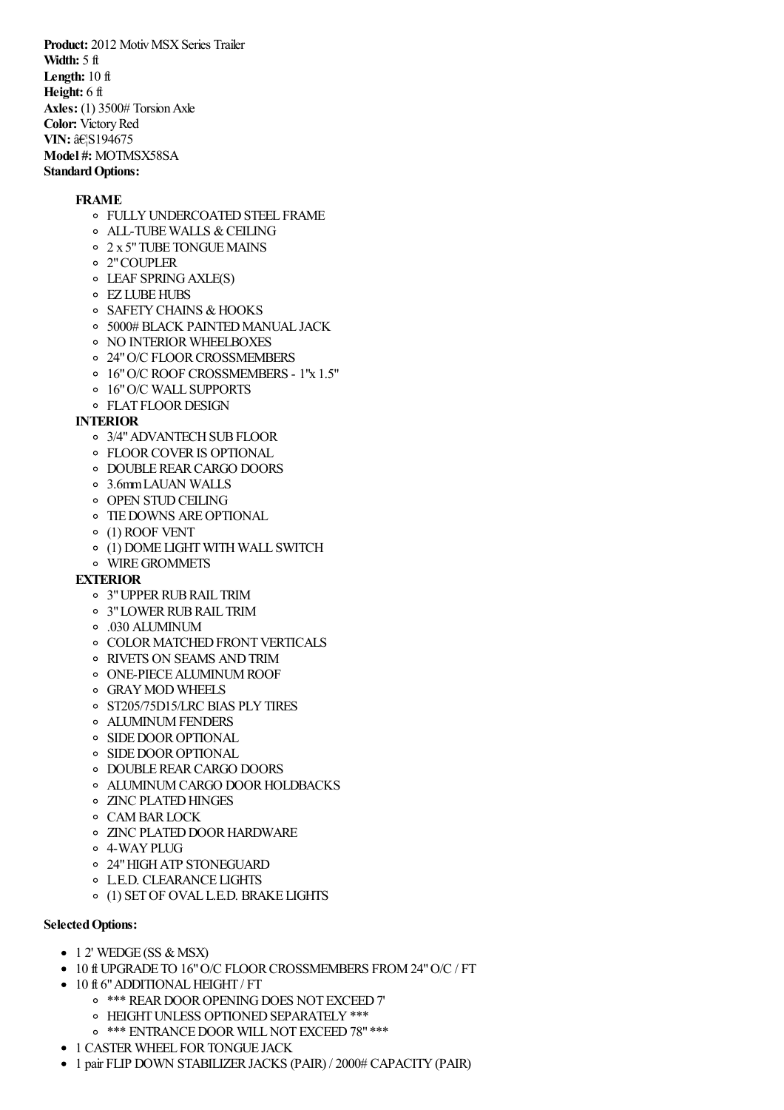**Product:** 2012 Motiv MSX Series Trailer **Width:** 5 ft **Length:** 10 ft **Height:** 6 ft **Axles:** (1) 3500# Torsion Axle **Color:** Victory Red **VIN: …S194675 Model #:** MOTMSX58SA **Standard Options:** 

## **FRAME**

- **OF FULLY UNDERCOATED STEEL FRAME**
- o ALL-TUBE WALLS & CEILING
- o  $2 \times 5$ " TUBE TONGUE MAINS
- 2"COUPLER
- LEAF SPRINGAXLE(S)
- EZ LUBEHUBS
- o SAFETY CHAINS & HOOKS
- o 5000# BLACK PAINTED MANUAL JACK
- **O NO INTERIOR WHEELBOXES**
- o 24" O/C FLOOR CROSSMEMBERS
- 16"O/C ROOF CROSSMEMBERS 1"x 1.5"
- 16"O/C WALL SUPPORTS
- o FLAT FLOOR DESIGN

## **INTERIOR**

- 3/4"ADVANTECHSUBFLOOR
- FLOORCOVERIS OPTIONAL
- o DOUBLE REAR CARGO DOORS
- 3.6mmLAUAN WALLS
- o OPEN STUD CEILING
- TIEDOWNS AREOPTIONAL
- (1) ROOF VENT
- $\circ$  (1) DOME LIGHT WITH WALL SWITCH
- WIREGROMMETS

#### **EXTERIOR**

- 3"UPPERRUBRAIL TRIM
- o 3" LOWER RUB RAIL TRIM
- .030 ALUMINUM
- **O COLOR MATCHED FRONT VERTICALS**
- RIVETS ON SEAMS ANDTRIM
- ONE-PIECEALUMINUMROOF
- GRAYMOD WHEELS
- o ST205/75D15/LRC BIAS PLY TIRES
- ALUMINUMFENDERS
- o SIDE DOOR OPTIONAL
- **SIDE DOOR OPTIONAL**
- o DOUBLE REAR CARGO DOORS
- o ALUMINUM CARGO DOOR HOLDBACKS
- **O ZINC PLATED HINGES**
- CAMBARLOCK
- o ZINC PLATED DOOR HARDWARE
- o 4-WAY PLUG
- 24"HIGHATP STONEGUARD
- L.E.D. CLEARANCE LIGHTS
- (1) SETOF OVAL L.E.D. BRAKE LIGHTS

## **Selected Options:**

- $\bullet$  1 2' WEDGE (SS & MSX)
- 10 ft UPGRADE TO 16"O/C FLOORCROSSMEMBERS FROM24"O/C / FT
- 10 ft 6" ADDITIONAL HEIGHT / FT
	- o \*\*\* REAR DOOR OPENING DOES NOT EXCEED 7'
	- o HEIGHT UNLESS OPTIONED SEPARATELY \*\*\*
		- o \*\*\* ENTRANCE DOOR WILL NOT EXCEED 78" \*\*\*
- 1 CASTER WHEEL FOR TONGUE JACK
- 1 pair FLIP DOWN STABILIZER JACKS (PAIR) / 2000# CAPACITY (PAIR)